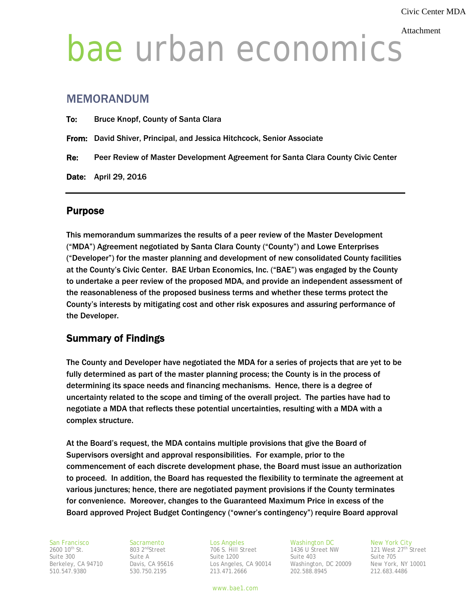#### Attachment

# bae urban economics

# MEMORANDUM

|     | <b>Date:</b> April 29, 2016                                                     |
|-----|---------------------------------------------------------------------------------|
| Re: | Peer Review of Master Development Agreement for Santa Clara County Civic Center |
|     | From: David Shiver, Principal, and Jessica Hitchcock, Senior Associate          |
| To: | <b>Bruce Knopf, County of Santa Clara</b>                                       |

# Purpose

This memorandum summarizes the results of a peer review of the Master Development ("MDA") Agreement negotiated by Santa Clara County ("County") and Lowe Enterprises ("Developer") for the master planning and development of new consolidated County facilities at the County's Civic Center. BAE Urban Economics, Inc. ("BAE") was engaged by the County to undertake a peer review of the proposed MDA, and provide an independent assessment of the reasonableness of the proposed business terms and whether these terms protect the County's interests by mitigating cost and other risk exposures and assuring performance of the Developer.

# Summary of Findings

The County and Developer have negotiated the MDA for a series of projects that are yet to be fully determined as part of the master planning process; the County is in the process of determining its space needs and financing mechanisms. Hence, there is a degree of uncertainty related to the scope and timing of the overall project. The parties have had to negotiate a MDA that reflects these potential uncertainties, resulting with a MDA with a complex structure.

At the Board's request, the MDA contains multiple provisions that give the Board of Supervisors oversight and approval responsibilities. For example, prior to the commencement of each discrete development phase, the Board must issue an authorization to proceed. In addition, the Board has requested the flexibility to terminate the agreement at various junctures; hence, there are negotiated payment provisions if the County terminates for convenience. Moreover, changes to the Guaranteed Maximum Price in excess of the Board approved Project Budget Contingency ("owner's contingency") require Board approval

706 S. Hill Street

San Francisco Sacramento Los Angeles Washington DC New York City<br>2600 10<sup>th</sup> St. 803 2<sup>nd</sup>Street 706 S. Hill Street 1436 U Street NW 121 West 27<sup>th</sup> Street Suite 300 Suite A Suite 1200 Suite 403 Suite 705 Berkeley, CA 94710 Davis, CA 95616 Los Angeles, CA 90014 Washington, DC 20009 New York, NY 10001<br>
510.547.9380 530.750.2195 213.471.2666 202.588.8945 212.683.4486 510.547.9380 530.750.2195 213.471.2666 202.588.8945 212.683.4486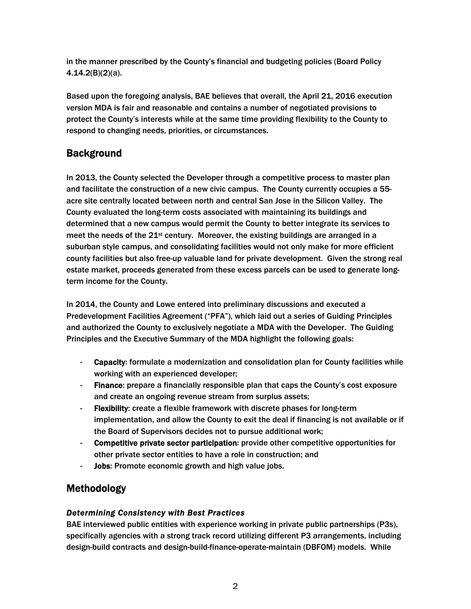in the manner prescribed by the County's financial and budgeting policies (Board Policy 4.14.2(B)(2)(a).

Based upon the foregoing analysis, BAE believes that overall, the April 21, 2016 execution version MDA is fair and reasonable and contains a number of negotiated provisions to protect the County's interests while at the same time providing flexibility to the County to respond to changing needs, priorities, or circumstances.

# **Background**

In 2013, the County selected the Developer through a competitive process to master plan and facilitate the construction of a new civic campus. The County currently occupies a 55 acre site centrally located between north and central San Jose in the Silicon Valley. The County evaluated the long-term costs associated with maintaining its buildings and determined that a new campus would permit the County to better integrate its services to meet the needs of the  $21st$  century. Moreover, the existing buildings are arranged in a suburban style campus, and consolidating facilities would not only make for more efficient county facilities but also free-up valuable land for private development. Given the strong real estate market, proceeds generated from these excess parcels can be used to generate longterm income for the County.

In 2014, the County and Lowe entered into preliminary discussions and executed a Predevelopment Facilities Agreement ("PFA"), which laid out a series of Guiding Principles and authorized the County to exclusively negotiate a MDA with the Developer. The Guiding Principles and the Executive Summary of the MDA highlight the following goals:

- Capacity: formulate a modernization and consolidation plan for County facilities while working with an experienced developer;
- Finance: prepare a financially responsible plan that caps the County's cost exposure and create an ongoing revenue stream from surplus assets;
- **Flexibility:** create a flexible framework with discrete phases for long-term implementation, and allow the County to exit the deal if financing is not available or if the Board of Supervisors decides not to pursue additional work;
- Competitive private sector participation: provide other competitive opportunities for other private sector entities to have a role in construction; and
- Jobs: Promote economic growth and high value jobs.

# Methodology

# *Determining Consistency with Best Practices*

BAE interviewed public entities with experience working in private public partnerships (P3s), specifically agencies with a strong track record utilizing different P3 arrangements, including design-build contracts and design-build-finance-operate-maintain (DBFOM) models. While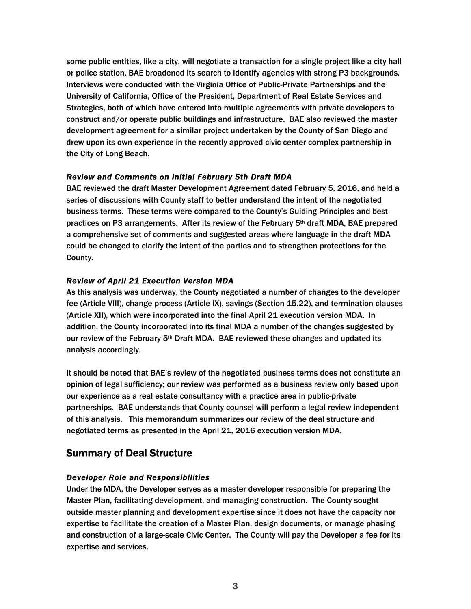some public entities, like a city, will negotiate a transaction for a single project like a city hall or police station, BAE broadened its search to identify agencies with strong P3 backgrounds. Interviews were conducted with the Virginia Office of Public-Private Partnerships and the University of California, Office of the President, Department of Real Estate Services and Strategies, both of which have entered into multiple agreements with private developers to construct and/or operate public buildings and infrastructure. BAE also reviewed the master development agreement for a similar project undertaken by the County of San Diego and drew upon its own experience in the recently approved civic center complex partnership in the City of Long Beach.

#### *Review and Comments on Initial February 5th Draft MDA*

BAE reviewed the draft Master Development Agreement dated February 5, 2016, and held a series of discussions with County staff to better understand the intent of the negotiated business terms. These terms were compared to the County's Guiding Principles and best practices on P3 arrangements. After its review of the February 5th draft MDA, BAE prepared a comprehensive set of comments and suggested areas where language in the draft MDA could be changed to clarify the intent of the parties and to strengthen protections for the County.

## *Review of April 21 Execution Version MDA*

As this analysis was underway, the County negotiated a number of changes to the developer fee (Article VIII), change process (Article IX), savings (Section 15.22), and termination clauses (Article XII), which were incorporated into the final April 21 execution version MDA. In addition, the County incorporated into its final MDA a number of the changes suggested by our review of the February 5th Draft MDA. BAE reviewed these changes and updated its analysis accordingly.

It should be noted that BAE's review of the negotiated business terms does not constitute an opinion of legal sufficiency; our review was performed as a business review only based upon our experience as a real estate consultancy with a practice area in public-private partnerships. BAE understands that County counsel will perform a legal review independent of this analysis. This memorandum summarizes our review of the deal structure and negotiated terms as presented in the April 21, 2016 execution version MDA.

# Summary of Deal Structure

## *Developer Role and Responsibilities*

Under the MDA, the Developer serves as a master developer responsible for preparing the Master Plan, facilitating development, and managing construction. The County sought outside master planning and development expertise since it does not have the capacity nor expertise to facilitate the creation of a Master Plan, design documents, or manage phasing and construction of a large-scale Civic Center. The County will pay the Developer a fee for its expertise and services.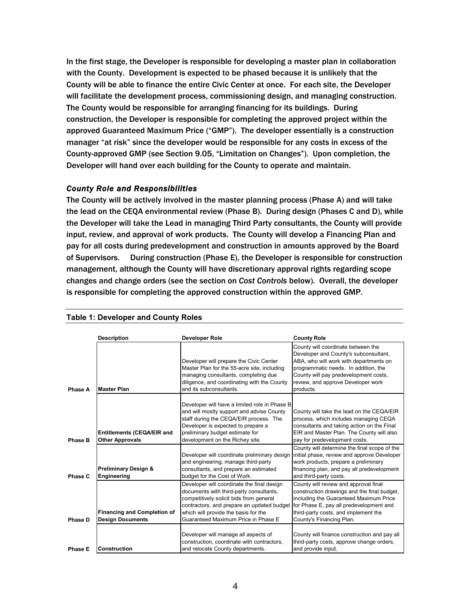In the first stage, the Developer is responsible for developing a master plan in collaboration with the County. Development is expected to be phased because it is unlikely that the County will be able to finance the entire Civic Center at once. For each site, the Developer will facilitate the development process, commissioning design, and managing construction. The County would be responsible for arranging financing for its buildings. During construction, the Developer is responsible for completing the approved project within the approved Guaranteed Maximum Price ("GMP"). The developer essentially is a construction manager "at risk" since the developer would be responsible for any costs in excess of the County-approved GMP (see Section 9.05, "Limitation on Changes"). Upon completion, the Developer will hand over each building for the County to operate and maintain.

## *County Role and Responsibilities*

The County will be actively involved in the master planning process (Phase A) and will take the lead on the CEQA environmental review (Phase B). During design (Phases C and D), while the Developer will take the Lead in managing Third Party consultants, the County will provide input, review, and approval of work products. The County will develop a Financing Plan and pay for all costs during predevelopment and construction in amounts approved by the Board of Supervisors. During construction (Phase E), the Developer is responsible for construction management, although the County will have discretionary approval rights regarding scope changes and change orders (see the section on *Cost Controls* below). Overall, the developer is responsible for completing the approved construction within the approved GMP.

|                | <b>Description</b>                                            | <b>Developer Role</b>                                                                                                                                                                                                                                         | <b>County Role</b>                                                                                                                                                                                                                                        |
|----------------|---------------------------------------------------------------|---------------------------------------------------------------------------------------------------------------------------------------------------------------------------------------------------------------------------------------------------------------|-----------------------------------------------------------------------------------------------------------------------------------------------------------------------------------------------------------------------------------------------------------|
| Phase A        | <b>Master Plan</b>                                            | Developer will prepare the Civic Center<br>Master Plan for the 55-acre site, including<br>managing consultants, completing due<br>diligence, and coordinating with the County<br>and its subconsultants.                                                      | County will coordinate between the<br>Developer and County's subconsultant,<br>ABA, who will work with departments on<br>programmatic needs. In addition, the<br>County will pay predevelopment costs,<br>review, and approve Developer work<br>products. |
| Phase B        | <b>Entitlements (CEQA/EIR and</b><br><b>Other Approvals</b>   | Developer will have a limited role in Phase B<br>and will mostly support and advise County<br>staff during the CEQA/EIR process. The<br>Developer is expected to prepare a<br>preliminary budget estimate for<br>development on the Richey site.              | County will take the lead on the CEQA/EIR<br>process, which includes managing CEQA<br>consultants and taking action on the Final<br>EIR and Master Plan. The County will also<br>pay for predevelopment costs.                                            |
| Phase C        | <b>Preliminary Design &amp;</b><br>Engineering                | Developer will coordinate preliminary design<br>and engineering, manage third-party<br>consultants, and prepare an estimated<br>budget for the Cost of Work.                                                                                                  | County will determine the final scope of the<br>initial phase, review and approve Developer<br>work products, prepare a preliminary<br>financing plan, and pay all predevelopment<br>and third-party costs.                                               |
| Phase D        | <b>Financing and Completion of</b><br><b>Design Documents</b> | Developer will coordinate the final design<br>documents with third-party consultants,<br>competitively solicit bids from general<br>contractors, and prepare an updated budget<br>which will provide the basis for the<br>Guaranteed Maximum Price in Phase E | County will review and approval final<br>construction drawings and the final budget,<br>including the Guaranteed Maximum Price<br>for Phase E, pay all predevelopment and<br>third-party costs, and implement the<br>County's Financing Plan.             |
| <b>Phase E</b> | <b>Construction</b>                                           | Developer will manage all aspects of<br>construction, coordinate with contractors,<br>and relocate County departments.                                                                                                                                        | County will finance construction and pay all<br>third-party costs, approve change orders,<br>and provide input.                                                                                                                                           |

#### **Table 1: Developer and County Roles**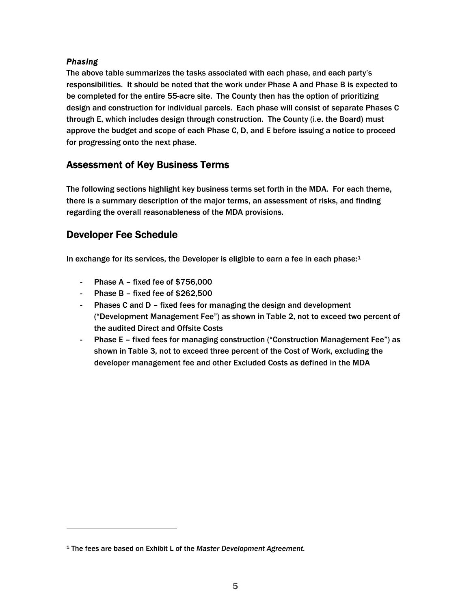## *Phasing*

 $\overline{\phantom{a}}$ 

The above table summarizes the tasks associated with each phase, and each party's responsibilities. It should be noted that the work under Phase A and Phase B is expected to be completed for the entire 55-acre site. The County then has the option of prioritizing design and construction for individual parcels. Each phase will consist of separate Phases C through E, which includes design through construction. The County (i.e. the Board) must approve the budget and scope of each Phase C, D, and E before issuing a notice to proceed for progressing onto the next phase.

# Assessment of Key Business Terms

The following sections highlight key business terms set forth in the MDA. For each theme, there is a summary description of the major terms, an assessment of risks, and finding regarding the overall reasonableness of the MDA provisions.

# Developer Fee Schedule

In exchange for its services, the Developer is eligible to earn a fee in each phase: $1$ 

- Phase A fixed fee of \$756,000
- Phase B fixed fee of \$262,500
- Phases C and D fixed fees for managing the design and development ("Development Management Fee") as shown in Table 2, not to exceed two percent of the audited Direct and Offsite Costs
- Phase E fixed fees for managing construction ("Construction Management Fee") as shown in Table 3, not to exceed three percent of the Cost of Work, excluding the developer management fee and other Excluded Costs as defined in the MDA

<sup>1</sup> The fees are based on Exhibit L of the *Master Development Agreement.*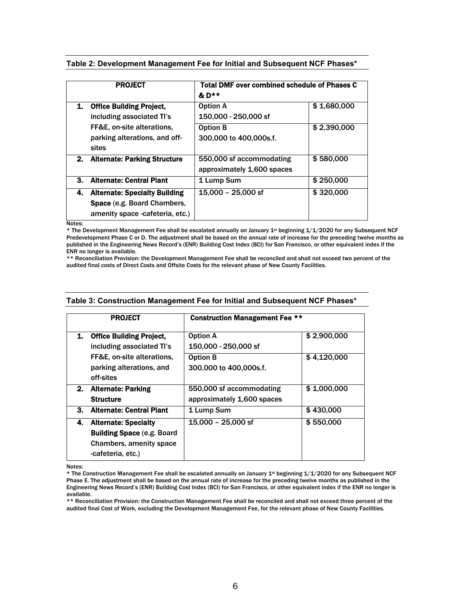|    | <b>PROJECT</b>                                                                                         | Total DMF over combined schedule of Phases C<br>$&D**$ |             |  |
|----|--------------------------------------------------------------------------------------------------------|--------------------------------------------------------|-------------|--|
| 1. | <b>Office Building Project,</b><br>including associated TI's                                           | <b>Option A</b><br>150,000 - 250,000 sf                | \$1,680,000 |  |
|    | FF&E, on-site alterations,<br>parking alterations, and off-<br>sites                                   | <b>Option B</b><br>300,000 to 400,000s.f.              | \$2,390,000 |  |
| 2. | <b>Alternate: Parking Structure</b>                                                                    | 550,000 sf accommodating<br>approximately 1,600 spaces | \$580,000   |  |
| 3. | <b>Alternate: Central Plant</b>                                                                        | 1 Lump Sum                                             | \$250,000   |  |
| 4. | <b>Alternate: Specialty Building</b><br>Space (e.g. Board Chambers,<br>amenity space -cafeteria, etc.) | 15,000 - 25,000 sf                                     | \$320,000   |  |

**Table 2: Development Management Fee for Initial and Subsequent NCF Phases\*** 

Notes:

\* The Development Management Fee shall be escalated annually on January 1st beginning 1/1/2020 for any Subsequent NCF Predevelopment Phase C or D. The adjustment shall be based on the annual rate of increase for the preceding twelve months as published in the Engineering News Record's (ENR) Building Cost Index (BCI) for San Francisco, or other equivalent index if the ENR no longer is available.

\*\* Reconciliation Provision: the Development Management Fee shall be reconciled and shall not exceed two percent of the audited final costs of Direct Costs and Offsite Costs for the relevant phase of New County Facilities.

| <b>PROJECT</b> |                                                                                                                   | <b>Construction Management Fee **</b>                  |             |  |
|----------------|-------------------------------------------------------------------------------------------------------------------|--------------------------------------------------------|-------------|--|
| 1.             | <b>Office Building Project,</b><br>including associated TI's                                                      | <b>Option A</b><br>150,000 - 250,000 sf                | \$2,900,000 |  |
|                | FF&E, on-site alterations,<br>parking alterations, and<br>off-sites                                               | <b>Option B</b><br>300,000 to 400,000s.f.              | \$4,120,000 |  |
|                | 2. Alternate: Parking<br><b>Structure</b>                                                                         | 550,000 sf accommodating<br>approximately 1,600 spaces | \$1,000,000 |  |
| 3.             | <b>Alternate: Central Plant</b>                                                                                   | 1 Lump Sum                                             | \$430,000   |  |
| 4.             | <b>Alternate: Specialty</b><br><b>Building Space (e.g. Board)</b><br>Chambers, amenity space<br>-cafeteria, etc.) | 15,000 - 25,000 sf                                     | \$550,000   |  |

#### **Table 3: Construction Management Fee for Initial and Subsequent NCF Phases\***

Notes:

\* The Construction Management Fee shall be escalated annually on January 1st beginning 1/1/2020 for any Subsequent NCF Phase E. The adjustment shall be based on the annual rate of increase for the preceding twelve months as published in the Engineering News Record's (ENR) Building Cost Index (BCI) for San Francisco, or other equivalent index if the ENR no longer is available.

\*\* Reconciliation Provision: the Construction Management Fee shall be reconciled and shall not exceed three percent of the audited final Cost of Work, excluding the Development Management Fee, for the relevant phase of New County Facilities.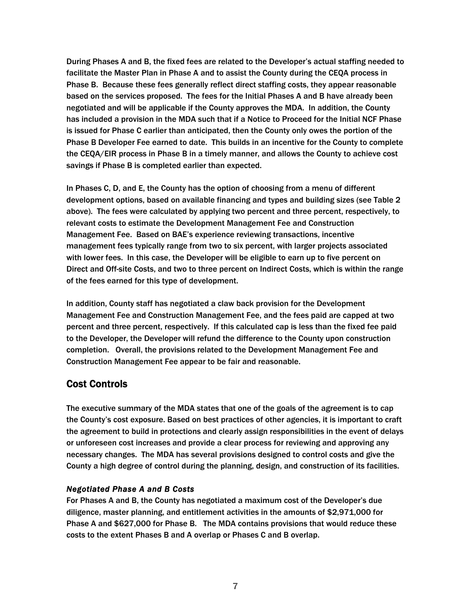During Phases A and B, the fixed fees are related to the Developer's actual staffing needed to facilitate the Master Plan in Phase A and to assist the County during the CEQA process in Phase B. Because these fees generally reflect direct staffing costs, they appear reasonable based on the services proposed. The fees for the Initial Phases A and B have already been negotiated and will be applicable if the County approves the MDA. In addition, the County has included a provision in the MDA such that if a Notice to Proceed for the Initial NCF Phase is issued for Phase C earlier than anticipated, then the County only owes the portion of the Phase B Developer Fee earned to date. This builds in an incentive for the County to complete the CEQA/EIR process in Phase B in a timely manner, and allows the County to achieve cost savings if Phase B is completed earlier than expected.

In Phases C, D, and E, the County has the option of choosing from a menu of different development options, based on available financing and types and building sizes (see Table 2 above). The fees were calculated by applying two percent and three percent, respectively, to relevant costs to estimate the Development Management Fee and Construction Management Fee. Based on BAE's experience reviewing transactions, incentive management fees typically range from two to six percent, with larger projects associated with lower fees. In this case, the Developer will be eligible to earn up to five percent on Direct and Off-site Costs, and two to three percent on Indirect Costs, which is within the range of the fees earned for this type of development.

In addition, County staff has negotiated a claw back provision for the Development Management Fee and Construction Management Fee, and the fees paid are capped at two percent and three percent, respectively. If this calculated cap is less than the fixed fee paid to the Developer, the Developer will refund the difference to the County upon construction completion. Overall, the provisions related to the Development Management Fee and Construction Management Fee appear to be fair and reasonable.

# Cost Controls

The executive summary of the MDA states that one of the goals of the agreement is to cap the County's cost exposure. Based on best practices of other agencies, it is important to craft the agreement to build in protections and clearly assign responsibilities in the event of delays or unforeseen cost increases and provide a clear process for reviewing and approving any necessary changes. The MDA has several provisions designed to control costs and give the County a high degree of control during the planning, design, and construction of its facilities.

## *Negotiated Phase A and B Costs*

For Phases A and B, the County has negotiated a maximum cost of the Developer's due diligence, master planning, and entitlement activities in the amounts of \$2,971,000 for Phase A and \$627,000 for Phase B. The MDA contains provisions that would reduce these costs to the extent Phases B and A overlap or Phases C and B overlap.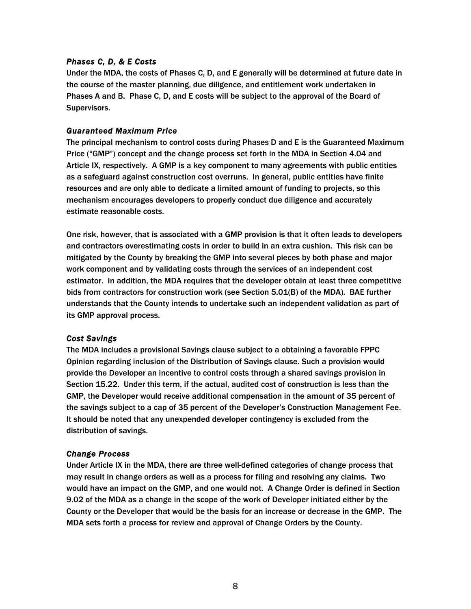## *Phases C, D, & E Costs*

Under the MDA, the costs of Phases C, D, and E generally will be determined at future date in the course of the master planning, due diligence, and entitlement work undertaken in Phases A and B. Phase C, D, and E costs will be subject to the approval of the Board of Supervisors.

## *Guaranteed Maximum Price*

The principal mechanism to control costs during Phases D and E is the Guaranteed Maximum Price ("GMP") concept and the change process set forth in the MDA in Section 4.04 and Article IX, respectively. A GMP is a key component to many agreements with public entities as a safeguard against construction cost overruns. In general, public entities have finite resources and are only able to dedicate a limited amount of funding to projects, so this mechanism encourages developers to properly conduct due diligence and accurately estimate reasonable costs.

One risk, however, that is associated with a GMP provision is that it often leads to developers and contractors overestimating costs in order to build in an extra cushion. This risk can be mitigated by the County by breaking the GMP into several pieces by both phase and major work component and by validating costs through the services of an independent cost estimator. In addition, the MDA requires that the developer obtain at least three competitive bids from contractors for construction work (see Section 5.01(B) of the MDA). BAE further understands that the County intends to undertake such an independent validation as part of its GMP approval process.

## *Cost Savings*

The MDA includes a provisional Savings clause subject to a obtaining a favorable FPPC Opinion regarding inclusion of the Distribution of Savings clause. Such a provision would provide the Developer an incentive to control costs through a shared savings provision in Section 15.22. Under this term, if the actual, audited cost of construction is less than the GMP, the Developer would receive additional compensation in the amount of 35 percent of the savings subject to a cap of 35 percent of the Developer's Construction Management Fee. It should be noted that any unexpended developer contingency is excluded from the distribution of savings.

## *Change Process*

Under Article IX in the MDA, there are three well-defined categories of change process that may result in change orders as well as a process for filing and resolving any claims. Two would have an impact on the GMP, and one would not. A Change Order is defined in Section 9.02 of the MDA as a change in the scope of the work of Developer initiated either by the County or the Developer that would be the basis for an increase or decrease in the GMP. The MDA sets forth a process for review and approval of Change Orders by the County.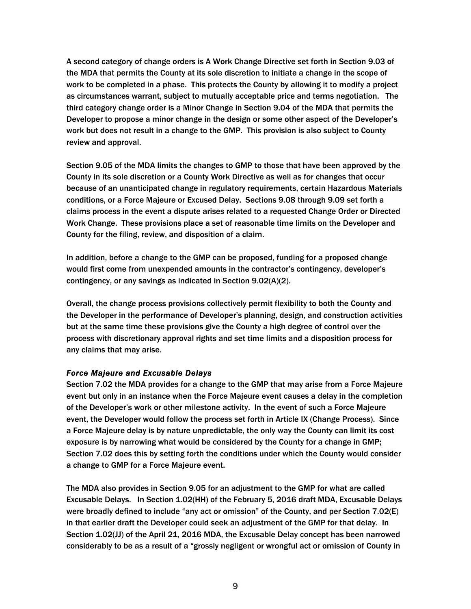A second category of change orders is A Work Change Directive set forth in Section 9.03 of the MDA that permits the County at its sole discretion to initiate a change in the scope of work to be completed in a phase. This protects the County by allowing it to modify a project as circumstances warrant, subject to mutually acceptable price and terms negotiation. The third category change order is a Minor Change in Section 9.04 of the MDA that permits the Developer to propose a minor change in the design or some other aspect of the Developer's work but does not result in a change to the GMP. This provision is also subject to County review and approval.

Section 9.05 of the MDA limits the changes to GMP to those that have been approved by the County in its sole discretion or a County Work Directive as well as for changes that occur because of an unanticipated change in regulatory requirements, certain Hazardous Materials conditions, or a Force Majeure or Excused Delay. Sections 9.08 through 9.09 set forth a claims process in the event a dispute arises related to a requested Change Order or Directed Work Change. These provisions place a set of reasonable time limits on the Developer and County for the filing, review, and disposition of a claim.

In addition, before a change to the GMP can be proposed, funding for a proposed change would first come from unexpended amounts in the contractor's contingency, developer's contingency, or any savings as indicated in Section 9.02(A)(2).

Overall, the change process provisions collectively permit flexibility to both the County and the Developer in the performance of Developer's planning, design, and construction activities but at the same time these provisions give the County a high degree of control over the process with discretionary approval rights and set time limits and a disposition process for any claims that may arise.

## *Force Majeure and Excusable Delays*

Section 7.02 the MDA provides for a change to the GMP that may arise from a Force Majeure event but only in an instance when the Force Majeure event causes a delay in the completion of the Developer's work or other milestone activity. In the event of such a Force Majeure event, the Developer would follow the process set forth in Article IX (Change Process). Since a Force Majeure delay is by nature unpredictable, the only way the County can limit its cost exposure is by narrowing what would be considered by the County for a change in GMP; Section 7.02 does this by setting forth the conditions under which the County would consider a change to GMP for a Force Majeure event.

The MDA also provides in Section 9.05 for an adjustment to the GMP for what are called Excusable Delays. In Section 1.02(HH) of the February 5, 2016 draft MDA, Excusable Delays were broadly defined to include "any act or omission" of the County, and per Section 7.02(E) in that earlier draft the Developer could seek an adjustment of the GMP for that delay. In Section 1.02(JJ) of the April 21, 2016 MDA, the Excusable Delay concept has been narrowed considerably to be as a result of a "grossly negligent or wrongful act or omission of County in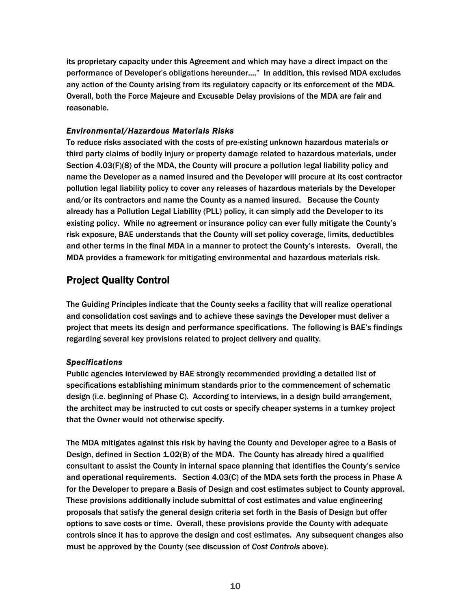its proprietary capacity under this Agreement and which may have a direct impact on the performance of Developer's obligations hereunder...." In addition, this revised MDA excludes any action of the County arising from its regulatory capacity or its enforcement of the MDA. Overall, both the Force Majeure and Excusable Delay provisions of the MDA are fair and reasonable.

## *Environmental/Hazardous Materials Risks*

To reduce risks associated with the costs of pre-existing unknown hazardous materials or third party claims of bodily injury or property damage related to hazardous materials, under Section 4.03(F)(8) of the MDA, the County will procure a pollution legal liability policy and name the Developer as a named insured and the Developer will procure at its cost contractor pollution legal liability policy to cover any releases of hazardous materials by the Developer and/or its contractors and name the County as a named insured. Because the County already has a Pollution Legal Liability (PLL) policy, it can simply add the Developer to its existing policy. While no agreement or insurance policy can ever fully mitigate the County's risk exposure, BAE understands that the County will set policy coverage, limits, deductibles and other terms in the final MDA in a manner to protect the County's interests. Overall, the MDA provides a framework for mitigating environmental and hazardous materials risk.

# Project Quality Control

The Guiding Principles indicate that the County seeks a facility that will realize operational and consolidation cost savings and to achieve these savings the Developer must deliver a project that meets its design and performance specifications. The following is BAE's findings regarding several key provisions related to project delivery and quality.

## *Specifications*

Public agencies interviewed by BAE strongly recommended providing a detailed list of specifications establishing minimum standards prior to the commencement of schematic design (i.e. beginning of Phase C). According to interviews, in a design build arrangement, the architect may be instructed to cut costs or specify cheaper systems in a turnkey project that the Owner would not otherwise specify.

The MDA mitigates against this risk by having the County and Developer agree to a Basis of Design, defined in Section 1.02(B) of the MDA. The County has already hired a qualified consultant to assist the County in internal space planning that identifies the County's service and operational requirements. Section 4.03(C) of the MDA sets forth the process in Phase A for the Developer to prepare a Basis of Design and cost estimates subject to County approval. These provisions additionally include submittal of cost estimates and value engineering proposals that satisfy the general design criteria set forth in the Basis of Design but offer options to save costs or time. Overall, these provisions provide the County with adequate controls since it has to approve the design and cost estimates. Any subsequent changes also must be approved by the County (see discussion of *Cost Controls* above).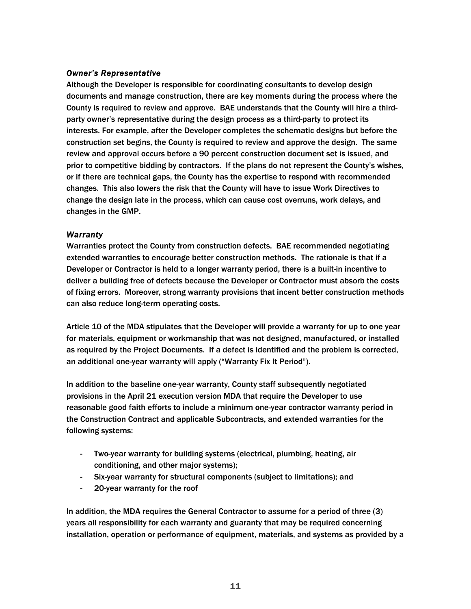## *Owner's Representative*

Although the Developer is responsible for coordinating consultants to develop design documents and manage construction, there are key moments during the process where the County is required to review and approve. BAE understands that the County will hire a thirdparty owner's representative during the design process as a third-party to protect its interests. For example, after the Developer completes the schematic designs but before the construction set begins, the County is required to review and approve the design. The same review and approval occurs before a 90 percent construction document set is issued, and prior to competitive bidding by contractors. If the plans do not represent the County's wishes, or if there are technical gaps, the County has the expertise to respond with recommended changes. This also lowers the risk that the County will have to issue Work Directives to change the design late in the process, which can cause cost overruns, work delays, and changes in the GMP.

## *Warranty*

Warranties protect the County from construction defects. BAE recommended negotiating extended warranties to encourage better construction methods. The rationale is that if a Developer or Contractor is held to a longer warranty period, there is a built-in incentive to deliver a building free of defects because the Developer or Contractor must absorb the costs of fixing errors. Moreover, strong warranty provisions that incent better construction methods can also reduce long-term operating costs.

Article 10 of the MDA stipulates that the Developer will provide a warranty for up to one year for materials, equipment or workmanship that was not designed, manufactured, or installed as required by the Project Documents. If a defect is identified and the problem is corrected, an additional one-year warranty will apply ("Warranty Fix It Period").

In addition to the baseline one-year warranty, County staff subsequently negotiated provisions in the April 21 execution version MDA that require the Developer to use reasonable good faith efforts to include a minimum one-year contractor warranty period in the Construction Contract and applicable Subcontracts, and extended warranties for the following systems:

- Two-year warranty for building systems (electrical, plumbing, heating, air conditioning, and other major systems);
- Six-year warranty for structural components (subject to limitations); and
- 20-year warranty for the roof

In addition, the MDA requires the General Contractor to assume for a period of three (3) years all responsibility for each warranty and guaranty that may be required concerning installation, operation or performance of equipment, materials, and systems as provided by a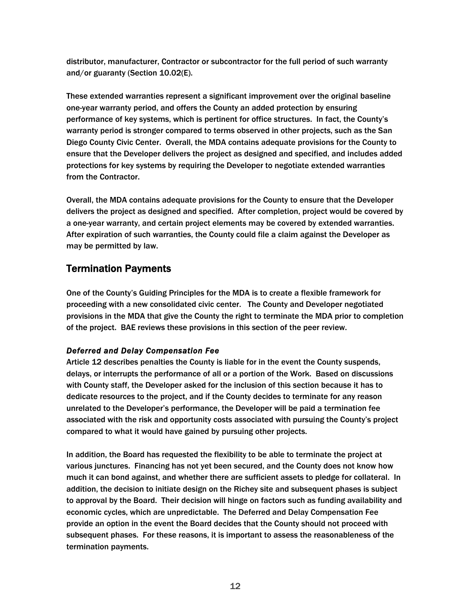distributor, manufacturer, Contractor or subcontractor for the full period of such warranty and/or guaranty (Section 10.02(E).

These extended warranties represent a significant improvement over the original baseline one-year warranty period, and offers the County an added protection by ensuring performance of key systems, which is pertinent for office structures. In fact, the County's warranty period is stronger compared to terms observed in other projects, such as the San Diego County Civic Center. Overall, the MDA contains adequate provisions for the County to ensure that the Developer delivers the project as designed and specified, and includes added protections for key systems by requiring the Developer to negotiate extended warranties from the Contractor.

Overall, the MDA contains adequate provisions for the County to ensure that the Developer delivers the project as designed and specified. After completion, project would be covered by a one-year warranty, and certain project elements may be covered by extended warranties. After expiration of such warranties, the County could file a claim against the Developer as may be permitted by law.

# Termination Payments

One of the County's Guiding Principles for the MDA is to create a flexible framework for proceeding with a new consolidated civic center. The County and Developer negotiated provisions in the MDA that give the County the right to terminate the MDA prior to completion of the project. BAE reviews these provisions in this section of the peer review.

## *Deferred and Delay Compensation Fee*

Article 12 describes penalties the County is liable for in the event the County suspends, delays, or interrupts the performance of all or a portion of the Work. Based on discussions with County staff, the Developer asked for the inclusion of this section because it has to dedicate resources to the project, and if the County decides to terminate for any reason unrelated to the Developer's performance, the Developer will be paid a termination fee associated with the risk and opportunity costs associated with pursuing the County's project compared to what it would have gained by pursuing other projects.

In addition, the Board has requested the flexibility to be able to terminate the project at various junctures. Financing has not yet been secured, and the County does not know how much it can bond against, and whether there are sufficient assets to pledge for collateral. In addition, the decision to initiate design on the Richey site and subsequent phases is subject to approval by the Board. Their decision will hinge on factors such as funding availability and economic cycles, which are unpredictable. The Deferred and Delay Compensation Fee provide an option in the event the Board decides that the County should not proceed with subsequent phases. For these reasons, it is important to assess the reasonableness of the termination payments.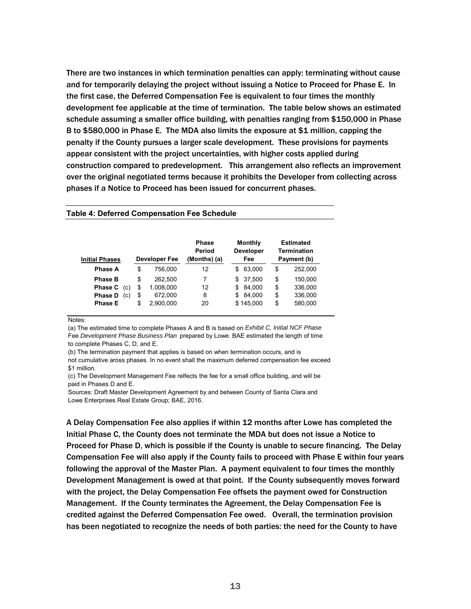There are two instances in which termination penalties can apply: terminating without cause and for temporarily delaying the project without issuing a Notice to Proceed for Phase E. In the first case, the Deferred Compensation Fee is equivalent to four times the monthly development fee applicable at the time of termination. The table below shows an estimated schedule assuming a smaller office building, with penalties ranging from \$150,000 in Phase B to \$580,000 in Phase E. The MDA also limits the exposure at \$1 million, capping the penalty if the County pursues a larger scale development. These provisions for payments appear consistent with the project uncertainties, with higher costs applied during construction compared to predevelopment. This arrangement also reflects an improvement over the original negotiated terms because it prohibits the Developer from collecting across phases if a Notice to Proceed has been issued for concurrent phases.

| <b>Initial Phases</b> | Developer Fee   | <b>Phase</b><br>Period<br>(Months) (a) | Monthly<br><b>Developer</b><br>Fee | Estimated<br>Termination<br>Payment (b) |
|-----------------------|-----------------|----------------------------------------|------------------------------------|-----------------------------------------|
| Phase A               | \$<br>756.000   | 12                                     | 63.000<br>\$                       | \$<br>252.000                           |
| <b>Phase B</b>        | \$<br>262.500   | 7                                      | 37.500<br>\$                       | \$<br>150,000                           |
| <b>Phase C</b><br>(c) | \$<br>1,008,000 | 12                                     | 84.000<br>\$                       | \$<br>336,000                           |
| <b>Phase D</b><br>(c) | \$<br>672.000   | 8                                      | 84.000<br>\$                       | \$<br>336,000                           |
| <b>Phase E</b>        | \$<br>2.900.000 | 20                                     | \$145.000                          | \$<br>580,000                           |

**Table 4: Deferred Compensation Fee Schedule** 

Notes:

(a) The estimated time to complete Phases A and B is based on *Exhibit C, Initial NCF Phase*  Fee *Development Phase Business Plan* prepared by Lowe. BAE estimated the length of time to complete Phases C, D, and E.

(b) The termination payment that applies is based on when termination occurs, and is

not cumulative aross phases. In no event shall the maximum deferred compensation fee exceed \$1 million.

(c) The Development Management Fee relfects the fee for a small office building, and will be paid in Phases D and E.

Sources: Draft Master Development Agreement by and between County of Santa Clara and Lowe Enterprises Real Estate Group; BAE, 2016.

A Delay Compensation Fee also applies if within 12 months after Lowe has completed the Initial Phase C, the County does not terminate the MDA but does not issue a Notice to Proceed for Phase D, which is possible if the County is unable to secure financing. The Delay Compensation Fee will also apply if the County fails to proceed with Phase E within four years following the approval of the Master Plan. A payment equivalent to four times the monthly Development Management is owed at that point. If the County subsequently moves forward with the project, the Delay Compensation Fee offsets the payment owed for Construction Management. If the County terminates the Agreement, the Delay Compensation Fee is credited against the Deferred Compensation Fee owed. Overall, the termination provision has been negotiated to recognize the needs of both parties: the need for the County to have